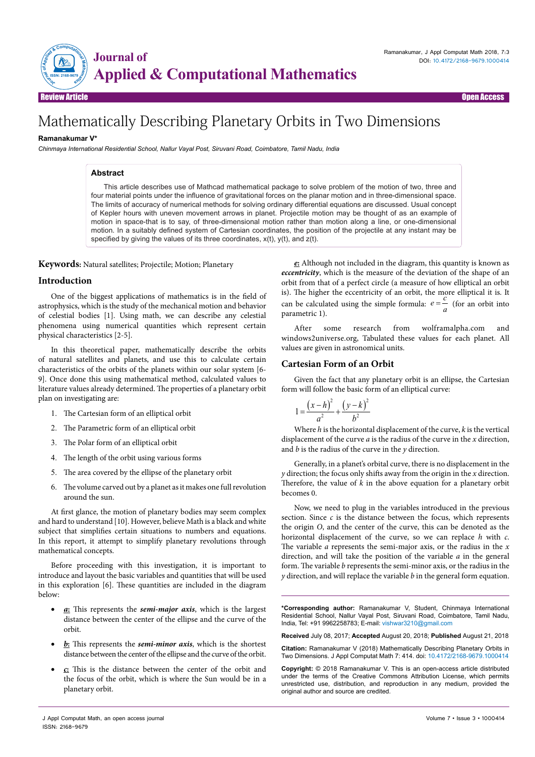

Review Article Open Access

# Mathematically Describing Planetary Orbits in Two Dimensions

## **Ramanakumar V\***

*Chinmaya International Residential School, Nallur Vayal Post, Siruvani Road, Coimbatore, Tamil Nadu, India*

## **Abstract**

This article describes use of Mathcad mathematical package to solve problem of the motion of two, three and four material points under the influence of gravitational forces on the planar motion and in three-dimensional space. The limits of accuracy of numerical methods for solving ordinary differential equations are discussed. Usual concept of Kepler hours with uneven movement arrows in planet. Projectile motion may be thought of as an example of motion in space-that is to say, of three-dimensional motion rather than motion along a line, or one-dimensional motion. In a suitably defined system of Cartesian coordinates, the position of the projectile at any instant may be specified by giving the values of its three coordinates,  $x(t)$ ,  $y(t)$ , and  $z(t)$ .

**Keywords:** Natural satellites; Projectile; Motion; Planetary

## **Introduction**

One of the biggest applications of mathematics is in the field of astrophysics, which is the study of the mechanical motion and behavior of celestial bodies [1]. Using math, we can describe any celestial phenomena using numerical quantities which represent certain physical characteristics [2-5].

In this theoretical paper, mathematically describe the orbits of natural satellites and planets, and use this to calculate certain characteristics of the orbits of the planets within our solar system [6- 9]. Once done this using mathematical method, calculated values to literature values already determined. The properties of a planetary orbit plan on investigating are:

- 1. The Cartesian form of an elliptical orbit
- 2. The Parametric form of an elliptical orbit
- 3. The Polar form of an elliptical orbit
- 4. The length of the orbit using various forms
- 5. The area covered by the ellipse of the planetary orbit
- 6. The volume carved out by a planet as it makes one full revolution around the sun.

At first glance, the motion of planetary bodies may seem complex and hard to understand [10]. However, believe Math is a black and white subject that simplifies certain situations to numbers and equations. In this report, it attempt to simplify planetary revolutions through mathematical concepts.

Before proceeding with this investigation, it is important to introduce and layout the basic variables and quantities that will be used in this exploration [6]. These quantities are included in the diagram below:

- **a**: This represents the **semi-major axis**, which is the largest distance between the center of the ellipse and the curve of the orbit.
- **b**: This represents the *semi-minor axis*, which is the shortest distance between the center of the ellipse and the curve of the orbit.
- • *c***:** This is the distance between the center of the orbit and the focus of the orbit, which is where the Sun would be in a planetary orbit.

*e***:** Although not included in the diagram, this quantity is known as *eccentricity*, which is the measure of the deviation of the shape of an orbit from that of a perfect circle (a measure of how elliptical an orbit is). The higher the eccentricity of an orbit, the more elliptical it is. It can be calculated using the simple formula:  $e = \frac{c}{a}$  (for an orbit into parametric 1).

After some research from wolframalpha.com and windows2universe.org, Tabulated these values for each planet. All values are given in astronomical units.

# **Cartesian Form of an Orbit**

Given the fact that any planetary orbit is an ellipse, the Cartesian form will follow the basic form of an elliptical curve:

$$
1 = \frac{(x-h)^2}{a^2} + \frac{(y-k)^2}{b^2}
$$

Where *h* is the horizontal displacement of the curve, *k* is the vertical displacement of the curve *a* is the radius of the curve in the *x* direction, and *b* is the radius of the curve in the *y* direction.

Generally, in a planet's orbital curve, there is no displacement in the *y* direction; the focus only shifts away from the origin in the *x* direction. Therefore, the value of *k* in the above equation for a planetary orbit becomes 0.

Now, we need to plug in the variables introduced in the previous section. Since  $c$  is the distance between the focus, which represents the origin *O*, and the center of the curve, this can be denoted as the horizontal displacement of the curve, so we can replace *h* with *c*. The variable *a* represents the semi-major axis, or the radius in the *x* direction, and will take the position of the variable *a* in the general form. The variable *b* represents the semi-minor axis, or the radius in the *y* direction, and will replace the variable *b* in the general form equation.

**\*Corresponding author:** Ramanakumar V, Student, Chinmaya International Residential School, Nallur Vayal Post, Siruvani Road, Coimbatore, Tamil Nadu, India, Tel: +91 9962258783; E-mail: vishwar3210@gmail.com

**Received** July 08, 2017; **Accepted** August 20, 2018; **Published** August 21, 2018

**Citation:** Ramanakumar V (2018) Mathematically Describing Planetary Orbits in Two Dimensions. J Appl Computat Math 7: 414. doi: 10.4172/2168-9679.1000414

**Copyright:** © 2018 Ramanakumar V. This is an open-access article distributed under the terms of the Creative Commons Attribution License, which permits unrestricted use, distribution, and reproduction in any medium, provided the original author and source are credited.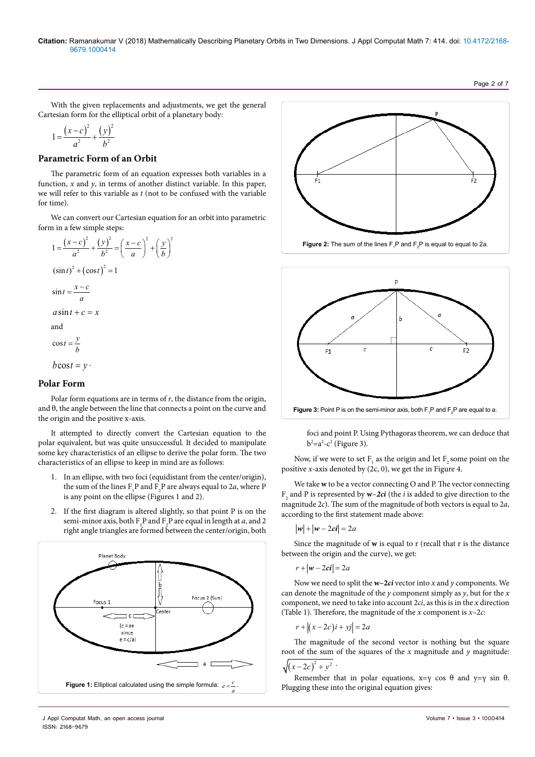#### **Citation:** Ramanakumar V (2018) Mathematically Describing Planetary Orbits in Two Dimensions. J Appl Computat Math 7: 414. doi: 10.4172/2168- 9679.1000414

Page 2 of 7

With the given replacements and adjustments, we get the general Cartesian form for the elliptical orbit of a planetary body:

$$
1 = \frac{(x-c)^2}{a^2} + \frac{(y)^2}{b^2}
$$

## **Parametric Form of an Orbit**

The parametric form of an equation expresses both variables in a function, *x* and *y*, in terms of another distinct variable. In this paper, we will refer to this variable as *t* (not to be confused with the variable for time).

We can convert our Cartesian equation for an orbit into parametric form in a few simple steps:

$$
1 = \frac{(x-c)^2}{a^2} + \frac{(y)^2}{b^2} = \left(\frac{x-c}{a}\right)^2 + \left(\frac{y}{b}\right)^2
$$
  
\n
$$
(\sin t)^2 + (\cos t)^2 = 1
$$
  
\n
$$
\sin t = \frac{x-c}{a}
$$
  
\n
$$
a \sin t + c = x
$$
  
\nand  
\n
$$
\cos t = \frac{y}{b}
$$
  
\n
$$
b \cos t = y
$$

## **Polar Form**

Polar form equations are in terms of  $r$ , the distance from the origin, and θ, the angle between the line that connects a point on the curve and the origin and the positive x-axis.

It attempted to directly convert the Cartesian equation to the polar equivalent, but was quite unsuccessful. It decided to manipulate some key characteristics of an ellipse to derive the polar form. The two characteristics of an ellipse to keep in mind are as follows:

- 1. In an ellipse, with two foci (equidistant from the center/origin), the sum of the lines  $F_1P$  and  $F_2P$  are always equal to 2*a*, where P is any point on the ellipse (Figures 1 and 2).
- 2. If the first diagram is altered slightly, so that point P is on the semi-minor axis, both  $F_1P$  and  $F_2P$  are equal in length at *a*, and 2 right angle triangles are formed between the center/origin, both







foci and point P. Using Pythagoras theorem, we can deduce that  $b^2$ =a<sup>2</sup>-c<sup>2</sup> (Figure 3).

Now, if we were to set  $F_1$  as the origin and let  $F_2$  some point on the positive *x*-axis denoted by (2c, 0), we get the in Figure 4.

We take **w** to be a vector connecting O and P. The vector connecting  $\mathbf{F}_{\mathbf{2}}$  and P is represented by  $\mathbf{w}{-}\mathbf{2ci}$  (the  $i$  is added to give direction to the magnitude 2*c*). The sum of the magnitude of both vectors is equal to 2*a*, according to the first statement made above:

$$
|w| + |w - 2ci| = 2a
$$

Since the magnitude of **w** is equal to r (recall that r is the distance between the origin and the curve), we get:

$$
r+|w-2ci|=2a
$$

Now we need to split the **w–2***ci* vector into *x* and *y* components. We can denote the magnitude of the *y* component simply as *y*, but for the *x* component, we need to take into account 2*ci*, as this is in the *x* direction (Table 1). Therefore, the magnitude of the *x* component is *x*–2*c*:

$$
r + \left| (x - 2c)i + yj \right| = 2a
$$

The magnitude of the second vector is nothing but the square root of the sum of the squares of the *x* magnitude and *y* magnitude:

$$
\sqrt{(x-2c)^2+y^2\cdot}
$$

Remember that in polar equations,  $x=y \cos \theta$  and  $y=y \sin \theta$ .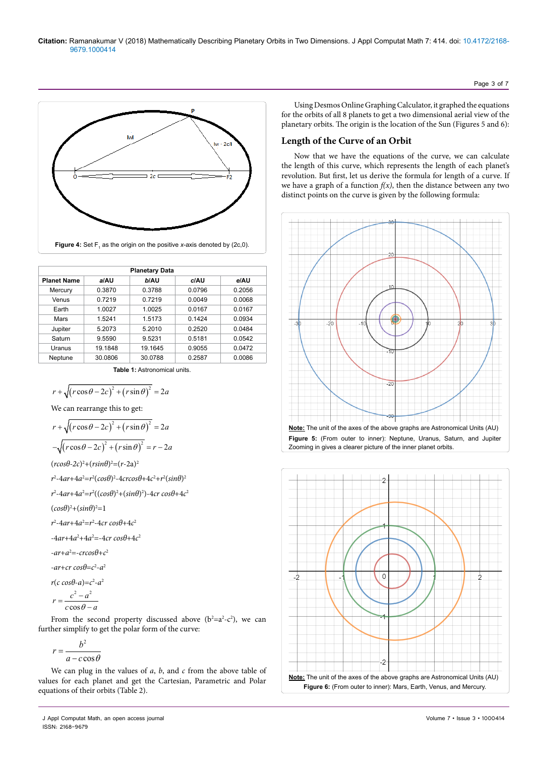

| <b>Planetary Data</b> |         |         |        |        |  |
|-----------------------|---------|---------|--------|--------|--|
| <b>Planet Name</b>    | a/AU    | b/AU    | c/AU   | e/AU   |  |
| Mercury               | 0.3870  | 0.3788  | 0.0796 | 0.2056 |  |
| Venus                 | 0.7219  | 0.7219  | 0.0049 | 0.0068 |  |
| Earth                 | 1.0027  | 1.0025  | 0.0167 | 0.0167 |  |
| Mars                  | 1.5241  | 1.5173  | 0.1424 | 0.0934 |  |
| Jupiter               | 5.2073  | 5.2010  | 0.2520 | 0.0484 |  |
| Saturn                | 9.5590  | 9.5231  | 0.5181 | 0.0542 |  |
| Uranus                | 19.1848 | 19.1645 | 0.9055 | 0.0472 |  |
| Neptune               | 30.0806 | 30.0788 | 0.2587 | 0.0086 |  |

**Table 1:** Astronomical units.

$$
r + \sqrt{(r\cos\theta - 2c)^2 + (r\sin\theta)^2} = 2a
$$

We can rearrange this to get:

$$
r + \sqrt{(r\cos\theta - 2c)^2 + (r\sin\theta)^2} = 2a
$$

$$
-\sqrt{(r\cos\theta - 2c)^2 + (r\sin\theta)^2} = r - 2a
$$

 $(r\cos\theta - 2c)^2 + (r\sin\theta)^2 = (r - 2a)^2$ 

$$
r^2-4ar+4a^2=r^2(cos\theta)^2-4crcos\theta+4c^2+r^2(sin\theta)^2
$$

*r*2 -4*ar*+4*a*<sup>2</sup> =*r*<sup>2</sup> ((*cosθ*)2 +(*sinθ*)2 )-4*cr cosθ*+4*c*<sup>2</sup>

$$
(cos\theta)^2 + (sin\theta)^2 = 1
$$

*r*2 -4*ar*+4*a*<sup>2</sup> =*r*<sup>2</sup> -4*cr cosθ*+4*c*<sup>2</sup>

 $-4ar+4a^2+4a^2 = -4cr \cos\theta + 4c^2$ 

$$
-ar+a^2=-\,c\,r\,cos\theta+c^2
$$

-*ar*+*cr cosθ*=*c*<sup>2</sup> -*a*<sup>2</sup>

$$
r(c \cos\theta - a) = c^2 - a^2
$$

$$
r = \frac{c^2 - a^2}{c \cos\theta - a}
$$

From the second property discussed above  $(b^2=a^2-c^2)$ , we can further simplify to get the polar form of the curve:

$$
r = \frac{b^2}{a - c\cos\theta}
$$

We can plug in the values of *a*, *b*, and *c* from the above table of values for each planet and get the Cartesian, Parametric and Polar equations of their orbits (Table 2).

Using Desmos Online Graphing Calculator, it graphed the equations for the orbits of all 8 planets to get a two dimensional aerial view of the planetary orbits. The origin is the location of the Sun (Figures 5 and 6):

Page 3 of 7

# **Length of the Curve of an Orbit**

Now that we have the equations of the curve, we can calculate the length of this curve, which represents the length of each planet's revolution. But first, let us derive the formula for length of a curve. If we have a graph of a function  $f(x)$ , then the distance between any two distinct points on the curve is given by the following formula:



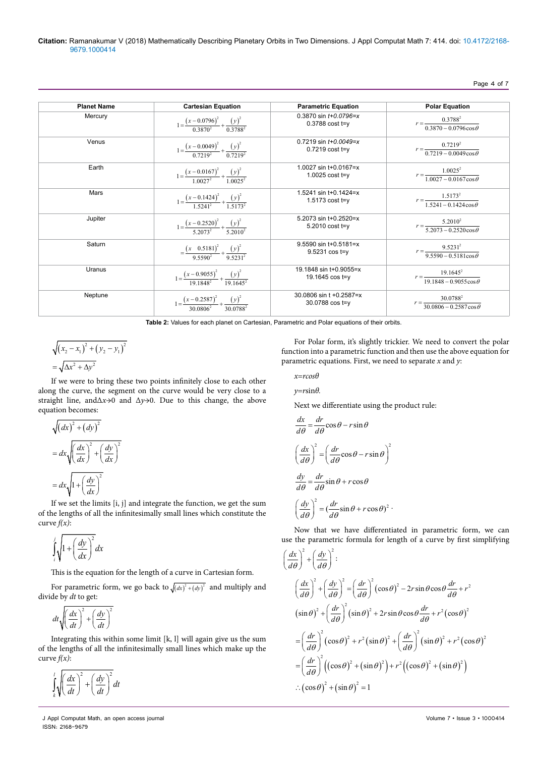#### Page 4 of 7

| <b>Planet Name</b> | <b>Cartesian Equation</b>                                        | <b>Parametric Equation</b>                          | <b>Polar Equation</b>                                  |
|--------------------|------------------------------------------------------------------|-----------------------------------------------------|--------------------------------------------------------|
| Mercury            | $1 = \frac{(x - 0.0796)^2}{0.3870^2} + \frac{(y)^2}{0.3788^2}$   | $0.3870 \sin t + 0.0796 = x$<br>$0.3788$ cost t=y   | $r = \frac{0.3788^2}{0.3870 - 0.0796 \cos \theta}$     |
| Venus              | $1 = \frac{(x - 0.0049)^2}{0.7219^2} + \frac{(y)^2}{0.7219^2}$   | $0.7219 \sin t + 0.0049 = x$<br>$0.7219$ cost t=y   | $r = \frac{0.7219^2}{0.7219 - 0.0049 \cos \theta}$     |
| Earth              | $1 = \frac{(x - 0.0167)^2}{1.0027^2} + \frac{(y)^2}{1.0025^2}$   | 1.0027 sin $t+0.0167=x$<br>1.0025 cost t=y          | $r = \frac{1.0025^2}{1.0027 - 0.0167 \cos \theta}$     |
| Mars               | $1 = \frac{(x - 0.1424)^2}{1.5241^2} + \frac{(y)^2}{1.5173^2}$   | 1.5241 sin $t+0.1424=x$<br>1.5173 $cost$ t=y        | $r = \frac{1.5173^2}{1.5241 - 0.1424 \cos \theta}$     |
| Jupiter            | $1 = \frac{(x - 0.2520)^2}{5.2073^2} + \frac{(y)^2}{5.2010^2}$   | 5.2073 sin t+0.2520=x<br>5.2010 cost t=y            | $r = \frac{5.2010^2}{5.2073 - 0.2520 \cos \theta}$     |
| Saturn             | $=\frac{(x-0.5181)^2}{9.5590^2}+\frac{(y)^2}{9.5231^2}$          | $9.5590 \sin t + 0.5181 = x$<br>$9.5231 \cos t = y$ | $r = \frac{9.5231^2}{9.5590 - 0.5181 \cos \theta}$     |
| Uranus             | $1 = \frac{(x - 0.9055)^2}{19.1848^2} + \frac{(y)^2}{19.1645^2}$ | 19.1848 sin t+0.9055=x<br>19.1645 cos t=y           | $r = \frac{19.1645^2}{19.1848 - 0.9055\cos\theta}$     |
| Neptune            | $1 = \frac{(x - 0.2587)^2}{30.0806^2} + \frac{(y)^2}{30.0788^2}$ | 30.0806 sin t +0.2587=x<br>$30.0788 \cos t = v$     | 30.0788 <sup>2</sup><br>$30.0806 - 0.2587 \cos \theta$ |

**Table 2:** Values for each planet on Cartesian, Parametric and Polar equations of their orbits.

$$
\sqrt{(x_2 - x_1)^2 + (y_2 - y_1)^2}
$$
  
=  $\sqrt{\Delta x^2 + \Delta y^2}$ 

If we were to bring these two points infinitely close to each other along the curve, the segment on the curve would be very close to a straight line, andΔ*x*→0 and Δ*y*→0. Due to this change, the above equation becomes:

$$
\sqrt{(dx)^2 + (dy)^2}
$$
  
=  $dx \sqrt{\left(\frac{dx}{dx}\right)^2 + \left(\frac{dy}{dx}\right)^2}$   
=  $dx \sqrt{1 + \left(\frac{dy}{dx}\right)^2}$ 

If we set the limits [i, j] and integrate the function, we get the sum of the lengths of all the infinitesimally small lines which constitute the curve *f(x)*:

$$
\int_{i}^{j} \sqrt{1 + \left(\frac{dy}{dx}\right)^2} dx
$$

This is the equation for the length of a curve in Cartesian form.

For parametric form, we go back to  $\sqrt{(dx)^2 + (dy)^2}$  and multiply and divide by *dt* to get:

$$
dt\sqrt{\left(\frac{dx}{dt}\right)^2 + \left(\frac{dy}{dt}\right)^2}
$$

Integrating this within some limit [k, l] will again give us the sum of the lengths of all the infinitesimally small lines which make up the curve *f(x)*:

 $\int_a^l \left(\frac{dx}{dt}\right)^2 + \left(\frac{dy}{dt}\right)^2 dt$ *k*  $\int_{k}^{t} \sqrt{\left(\frac{dx}{dt}\right)^{2} + \left(\frac{dy}{dt}\right)^{2}}$ 

For Polar form, it's slightly trickier. We need to convert the polar function into a parametric function and then use the above equation for parametric equations. First, we need to separate *x* and *y*:

$$
x = r \cos \theta
$$

*y=r*sin*θ.*

Next we differentiate using the product rule:

$$
\frac{dx}{d\theta} = \frac{dr}{d\theta}\cos\theta - r\sin\theta
$$

$$
\left(\frac{dx}{d\theta}\right)^2 = \left(\frac{dr}{d\theta}\cos\theta - r\sin\theta\right)^2
$$

$$
\frac{dy}{d\theta} = \frac{dr}{d\theta}\sin\theta + r\cos\theta
$$

$$
\left(\frac{dy}{d\theta}\right)^2 = \left(\frac{dr}{d\theta}\sin\theta + r\cos\theta\right)^2.
$$

Now that we have differentiated in parametric form, we can use the parametric formula for length of a curve by first simplifying

$$
\left(\frac{dx}{d\theta}\right)^{2} + \left(\frac{dy}{d\theta}\right)^{2}
$$
\n
$$
\left(\frac{dx}{d\theta}\right)^{2} + \left(\frac{dy}{d\theta}\right)^{2} = \left(\frac{dr}{d\theta}\right)^{2} (\cos\theta)^{2} - 2r\sin\theta\cos\theta\frac{dr}{d\theta} + r^{2}
$$
\n
$$
(\sin\theta)^{2} + \left(\frac{dr}{d\theta}\right)^{2} (\sin\theta)^{2} + 2r\sin\theta\cos\theta\frac{dr}{d\theta} + r^{2}(\cos\theta)^{2}
$$
\n
$$
= \left(\frac{dr}{d\theta}\right)^{2} (\cos\theta)^{2} + r^{2} (\sin\theta)^{2} + \left(\frac{dr}{d\theta}\right)^{2} (\sin\theta)^{2} + r^{2} (\cos\theta)^{2}
$$
\n
$$
= \left(\frac{dr}{d\theta}\right)^{2} \left((\cos\theta)^{2} + (\sin\theta)^{2}\right) + r^{2} \left((\cos\theta)^{2} + (\sin\theta)^{2}\right)
$$
\n
$$
\therefore (\cos\theta)^{2} + (\sin\theta)^{2} = 1
$$

J Appl Computat Math, an open access journal Volume 7 • Issue 3 • 1000414 ISSN: 2168-9679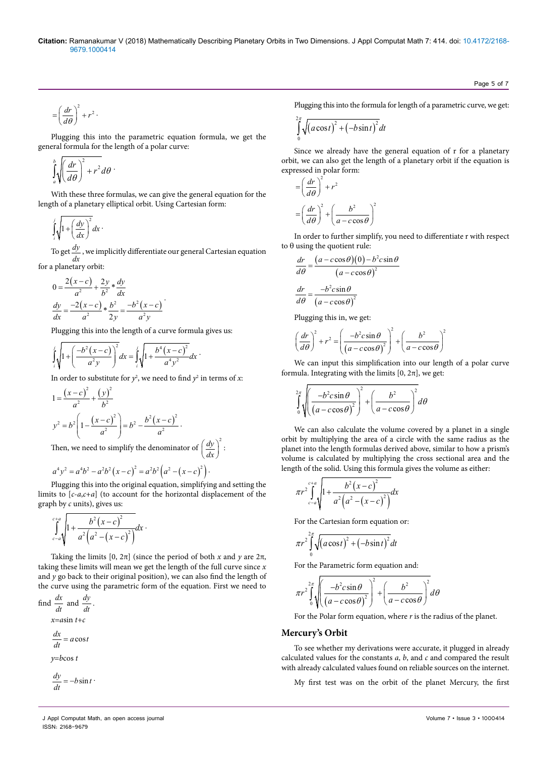#### **Citation:** Ramanakumar V (2018) Mathematically Describing Planetary Orbits in Two Dimensions. J Appl Computat Math 7: 414. doi: 10.4172/2168- 9679.1000414

$$
= \left(\frac{dr}{d\theta}\right)^2 + r^2.
$$

Plugging this into the parametric equation formula, we get the general formula for the length of a polar curve:

$$
\int_a^b \sqrt{\left(\frac{dr}{d\theta}\right)^2 + r^2} d\theta
$$

With these three formulas, we can give the general equation for the length of a planetary elliptical orbit. Using Cartesian form:

$$
\int_{l}^{j} \sqrt{1 + \left(\frac{dy}{dx}\right)^2} dx
$$

To get  $\frac{dy}{dx}$ , we implicitly differentiate our general Cartesian equation for a planetary orbit:

$$
0 = \frac{2(x-c)}{a^2} + \frac{2y}{b^2} * \frac{dy}{dx}
$$
  

$$
\frac{dy}{dx} = \frac{-2(x-c)}{a^2} * \frac{b^2}{2y} = \frac{-b^2(x-c)}{a^2y}
$$

Plugging this into the length of a curve formula gives us:

$$
\int_{1}^{j} \sqrt{1 + \left(\frac{-b^2(x-c)}{a^2y}\right)^2} dx = \int_{1}^{j} \sqrt{1 + \frac{b^4(x-c)^2}{a^4y^2}} dx
$$

In order to substitute for  $y^2$ , we need to find  $y^2$  in terms of *x*:

$$
1 = \frac{(x - c)^2}{a^2} + \frac{(y)^2}{b^2}
$$
  

$$
y^2 = b^2 \left( 1 - \frac{(x - c)^2}{a^2} \right) = b^2 - \frac{b^2 (x - c)^2}{a^2}.
$$

Then, we need to simplify the denominator of  $\left(\frac{dy}{dx}\right)^2$  $\left(\frac{dy}{dx}\right)^2$ 

$$
a^4y^2 = a^4b^2 - a^2b^2(x-c)^2 = a^2b^2(a^2 - (x-c)^2).
$$

Plugging this into the original equation, simplifying and setting the limits to [*c*-*a*,*c*+*a*] (to account for the horizontal displacement of the graph by *c* units), gives us:

$$
\int_{c-a}^{c+a} \sqrt{1 + \frac{b^2 (x-c)^2}{a^2 (a^2 - (x-c)^2)}} dx
$$

Taking the limits  $[0, 2\pi]$  (since the period of both *x* and *y* are  $2\pi$ , taking these limits will mean we get the length of the full curve since *x* and  $y$  go back to their original position), we can also find the length of the curve using the parametric form of the equation. First we need to

find 
$$
\frac{dx}{dt}
$$
 and  $\frac{dy}{dt}$ .  
\n $x = a\sin t + c$   
\n $\frac{dx}{dt} = a\cos t$   
\n $y = b\cos t$ 

$$
\frac{dy}{dt} = -b\sin t
$$

Plugging this into the formula for length of a parametric curve, we get:

$$
\int_{0}^{2\pi} \sqrt{(a\cos t)^2 + (-b\sin t)^2} dt
$$

Since we already have the general equation of r for a planetary orbit, we can also get the length of a planetary orbit if the equation is expressed in polar form:

$$
= \left(\frac{dr}{d\theta}\right)^2 + r^2
$$

$$
= \left(\frac{dr}{d\theta}\right)^2 + \left(\frac{b^2}{a - c\cos\theta}\right)^2
$$

In order to further simplify, you need to differentiate r with respect to θ using the quotient rule:

$$
\frac{dr}{d\theta} = \frac{(a - c\cos\theta)(0) - b^2 c\sin\theta}{(a - c\cos\theta)^2}
$$

$$
\frac{dr}{d\theta} = \frac{-b^2 c\sin\theta}{(a - c\cos\theta)^2}
$$

Plugging this in, we get:

$$
\left(\frac{dr}{d\theta}\right)^2 + r^2 = \left(\frac{-b^2c\sin\theta}{\left(a - c\cos\theta\right)^2}\right)^2 + \left(\frac{b^2}{a - c\cos\theta}\right)^2
$$

We can input this simplification into our length of a polar curve formula. Integrating with the limits  $[0, 2\pi]$ , we get:

$$
\int_{0}^{2\pi} \sqrt{\left(\frac{-b^2c\sin\theta}{\left(a-c\cos\theta\right)^2}\right)^2 + \left(\frac{b^2}{a-c\cos\theta}\right)^2} d\theta
$$

We can also calculate the volume covered by a planet in a single orbit by multiplying the area of a circle with the same radius as the planet into the length formulas derived above, similar to how a prism's volume is calculated by multiplying the cross sectional area and the length of the solid. Using this formula gives the volume as either:

$$
\pi r^2 \int_{c-a}^{c+a} \sqrt{1 + \frac{b^2 (x - c)^2}{a^2 (a^2 - (x - c)^2)}} dx
$$

For the Cartesian form equation or:

$$
\pi r^2 \int_0^{2\pi} \sqrt{\left(a\cos t\right)^2 + \left(-b\sin t\right)^2} dt
$$

For the Parametric form equation and:

$$
\pi r^2 \int_0^{\pi} \sqrt{\left(\frac{-b^2 c \sin \theta}{\left(a - c \cos \theta\right)^2}\right)^2 + \left(\frac{b^2}{a - c \cos \theta}\right)^2} d\theta
$$

For the Polar form equation, where *r* is the radius of the planet.

#### **Mercury's Orbit**

To see whether my derivations were accurate, it plugged in already calculated values for the constants *a*, *b*, and *c* and compared the result with already calculated values found on reliable sources on the internet.

My first test was on the orbit of the planet Mercury, the first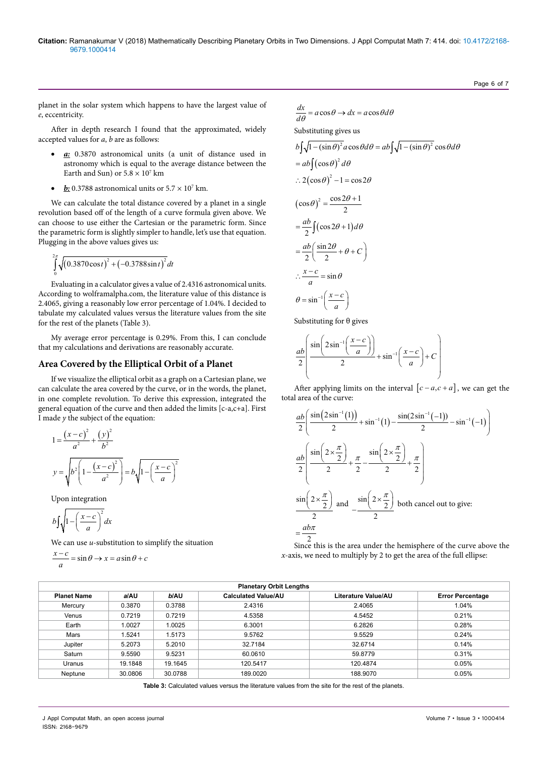planet in the solar system which happens to have the largest value of *e*, eccentricity.

After in depth research I found that the approximated, widely accepted values for *a*, *b* are as follows:

- a: 0.3870 astronomical units (a unit of distance used in astronomy which is equal to the average distance between the Earth and Sun) or  $5.8 \times 10^7$  km
- $\cdot$  *b***:** 0.3788 astronomical units or  $5.7 \times 10^7$  km.

We can calculate the total distance covered by a planet in a single revolution based off of the length of a curve formula given above. We can choose to use either the Cartesian or the parametric form. Since the parametric form is slightly simpler to handle, let's use that equation. Plugging in the above values gives us:

$$
\int_{0}^{2\pi} \sqrt{(0.3870 \cos t)^2 + (-0.3788 \sin t)^2} dt
$$

Evaluating in a calculator gives a value of 2.4316 astronomical units. According to wolframalpha.com, the literature value of this distance is 2.4065, giving a reasonably low error percentage of 1.04%. I decided to tabulate my calculated values versus the literature values from the site for the rest of the planets (Table 3).

My average error percentage is 0.29%. From this, I can conclude that my calculations and derivations are reasonably accurate.

### **Area Covered by the Elliptical Orbit of a Planet**

If we visualize the elliptical orbit as a graph on a Cartesian plane, we can calculate the area covered by the curve, or in the words, the planet, in one complete revolution. To derive this expression, integrated the general equation of the curve and then added the limits [c-a,c+a]. First I made *y* the subject of the equation:

$$
1 = \frac{(x-c)^2}{a^2} + \frac{(y)^2}{b^2}
$$
  

$$
y = \sqrt{b^2 \left(1 - \frac{(x-c)^2}{a^2}\right)} = b\sqrt{1 - \left(\frac{x-c}{a}\right)^2}
$$

Upon integration

$$
b \int \sqrt{1 - \left(\frac{x - c}{a}\right)^2} \, dx
$$

We can use *u*-substitution to simplify the situation

$$
\frac{x-c}{a} = \sin \theta \to x = a \sin \theta + c
$$

$$
\frac{dx}{d\theta} = a\cos\theta \rightarrow dx = a\cos\theta d\theta
$$
  
Substituting gives us  

$$
b\int \sqrt{1 - (\sin \theta)^2} a\cos\theta d\theta = ab\int \sqrt{1 - (\sin \theta)^2} \cos\theta d\theta
$$

$$
= ab\int (\cos \theta)^2 d\theta
$$

$$
\therefore 2(\cos \theta)^2 - 1 = \cos 2\theta
$$

$$
(\cos \theta)^2 = \frac{\cos 2\theta + 1}{2}
$$

$$
= \frac{ab}{2} \int (\cos 2\theta + 1) d\theta
$$

$$
= \frac{ab}{2} \left(\frac{\sin 2\theta}{2} + \theta + C\right)
$$

$$
\therefore \frac{x - c}{a} = \sin \theta
$$

$$
\theta = \sin^{-1} \left(\frac{x - c}{a}\right)
$$

Substituting for θ gives

$$
\frac{ab}{2}\left(\frac{\sin\left(2\sin^{-1}\left(\frac{x-c}{a}\right)\right)}{2} + \sin^{-1}\left(\frac{x-c}{a}\right) + C\right)
$$

After applying limits on the interval  $[c-a,c+a]$ , we can get the total area of the curve:

$$
\frac{ab}{2} \left( \frac{\sin(2\sin^{-1}(1))}{2} + \sin^{-1}(1) - \frac{\sin(2\sin^{-1}(-1))}{2} - \sin^{-1}(-1) \right)
$$
  

$$
\frac{ab}{2} \left( \frac{\sin\left(2 \times \frac{\pi}{2}\right)}{2} + \frac{\pi}{2} - \frac{\sin\left(2 \times \frac{\pi}{2}\right)}{2} + \frac{\pi}{2} \right)
$$
  

$$
\frac{\sin\left(2 \times \frac{\pi}{2}\right)}{2} \text{ and } \frac{\sin\left(2 \times \frac{\pi}{2}\right)}{2} \text{ both cancel out to give:}
$$
  

$$
= \frac{ab\pi}{2}
$$

Since this is the area under the hemisphere of the curve above the *x*-axis, we need to multiply by 2 to get the area of the full ellipse:

| <b>Planetary Orbit Lengths</b> |         |         |                            |                     |                         |
|--------------------------------|---------|---------|----------------------------|---------------------|-------------------------|
| <b>Planet Name</b>             | a/AU    | b/AU    | <b>Calculated Value/AU</b> | Literature Value/AU | <b>Error Percentage</b> |
| Mercury                        | 0.3870  | 0.3788  | 2.4316                     | 2.4065              | 1.04%                   |
| Venus                          | 0.7219  | 0.7219  | 4.5358                     | 4.5452              | 0.21%                   |
| Earth                          | 1.0027  | 1.0025  | 6.3001                     | 6.2826              | 0.28%                   |
| Mars                           | 1.5241  | 1.5173  | 9.5762                     | 9.5529              | 0.24%                   |
| Jupiter                        | 5.2073  | 5.2010  | 32.7184                    | 32.6714             | 0.14%                   |
| Saturn                         | 9.5590  | 9.5231  | 60.0610                    | 59.8779             | 0.31%                   |
| Uranus                         | 19.1848 | 19.1645 | 120.5417                   | 120.4874            | 0.05%                   |
| Neptune                        | 30.0806 | 30.0788 | 189.0020                   | 188.9070            | 0.05%                   |

 $\mathfrak{Z}$ 

**Table 3:** Calculated values versus the literature values from the site for the rest of the planets.

Page 6 of 7